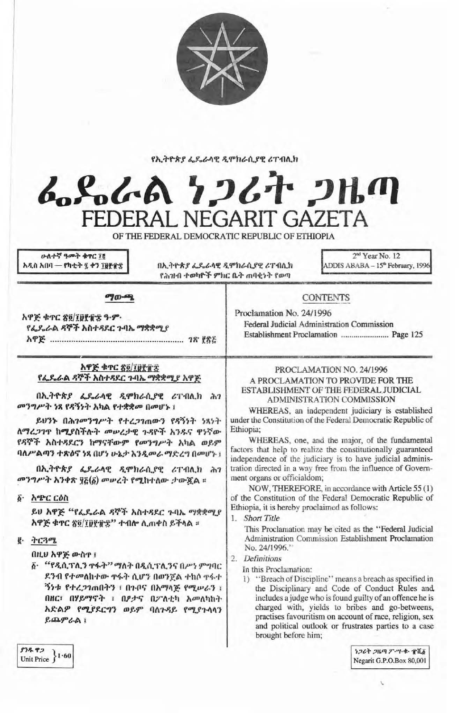

#### የኢትዮጵያ ፌዴራላዊ ዲሞክራሲያዊ ሪፐብሊክ



OF THE FEDERAL DEMOCRATIC REPUBLIC OF ETHIOPIA

ሁለተኛ ዓመት ቁዋር 78 አዲስ አበባ — የካቲት ፯ ቀን ፲፱፻፹፰

በኢትዮጵያ ፌዴራላዊ ዲሞክራሲያዊ ሪፐብሲክ የሕዝብ ተወካዮች ምክር ቤት ጠባቂነት የወጣ

2<sup>nd</sup> Year No. 12 ADDIS ABABA - 15<sup>th</sup> February, 1996

*ግയ-*ജ

አዋጅ ቁጥር ጽ፬/፲፱፻፹፰ ዓ-ም-የፌዶራል ዳኞች አስተዳደር ጉባኤ ማቋቋሚያ 

## አዋጅ ቁጥር ጽ፬/፲፱፻፹፰ የፌዴራል ዳኞች አስተዳደር ጉባኤ ማቋቋሚያ አዋጅ

በኢትዮጵያ ፌዴራሳዊ ዲሞክራሲያዊ ሪፐብሊክ ሕገ መንግሥት ነጻ የዳኝነት አካል የተቋቋመ በመሆኑ ፤

ይሀንኑ በሕገመንግሥት የተረጋገጠውን የጻኝነት ነጻነት ለማረ*ጋገ*ዋ ከሚያስችሉት መሠረታዊ ጉዳዮች አንዱና ዋነኛው የዳኞች አስተዳደርን ከማናቸውም የመንግሥት አካል ወይም ባለሥልጣን ተጽዕኖ ነጻ በሆነ ሁኔታ እንዲመራ ማድረግ በመሆኑ ፤

በኢትዮጵያ ፌዴራላዊ ዲሞክራሲያዊ ሪፐብሊክ ሕገ መንግሥት አንቀጽ ፃਣ(δ) መሥረት የሚከተለው ታውጇል ።

፩· አጭር ርዕስ

ይሀ አዋጅ "የፌዴራል ዳኞች አስተዳደር ጉባኤ ማቋቋሚያ አዋጅ ቁጥር ጽ፬/፲፱፻፹፰" ተብሎ ሲጠቀስ ይችላል ።

## $g \rightarrow C392$

በዚህ አዋጅ ውስዋ ፤

፩· "የዲሲፕሊን ዋፋት" ማለት በዲሲፕሊንና በሥነ ምግባር ደንብ የተመለከተው ዋፋት ሲሆን በወንጀል ተከሶ ዋፋተ *ችነቱ የተረጋገ*ጠበትን ፣ በጉቦና በአማሳጅ የሚሥራን ፣ በዘር፣ በሃይማኖት ፣ በፆታና በፖለቲካ አመለካከት አድልዎ የሚያደርግን ወይም ባለጉዳይ የሚያጉሳሳን ይጨምራል $i$ 

## PROCLAMATION NO. 24/1996 A PROCLAMATION TO PROVIDE FOR THE ESTABLISHMENT OF THE FEDERAL JUDICIAL ADMINISTRATION COMMISSION

**CONTENTS** 

Federal Judicial Administration Commission

Proclamation No. 24/1996

WHEREAS, an independent judiciary is established under the Constitution of the Federal Democratic Republic of Ethiopia:

WHEREAS, one, and the major, of the fundamental factors that help to realize the constitutionally guaranteed independence of the judiciary is to have judicial administration directed in a way free from the influence of Government organs or officialdom;

NOW, THEREFORE, in accordance with Article 55 (1) of the Constitution of the Federal Democratic Republic of Ethiopia, it is hereby proclaimed as follows:

1. Short Title

This Proclamation may be cited as the "Federal Judicial Administration Commission Establishment Proclamation No. 24/1996.'

#### 2. Definitions

In this Proclamation:

1) "Breach of Discipline" means a breach as specified in the Disciplinary and Code of Conduct Rules and, includes a judge who is found guilty of an offence he is charged with, yields to bribes and go-betweens, practises favouritism on account of race, religion, sex and political outlook or frustrates parties to a case brought before him;

ነጋሪት ጋዜጣ ፖ-ሣ-ቁ- ተሺ፩ Negarit G.P.O.Box 80,001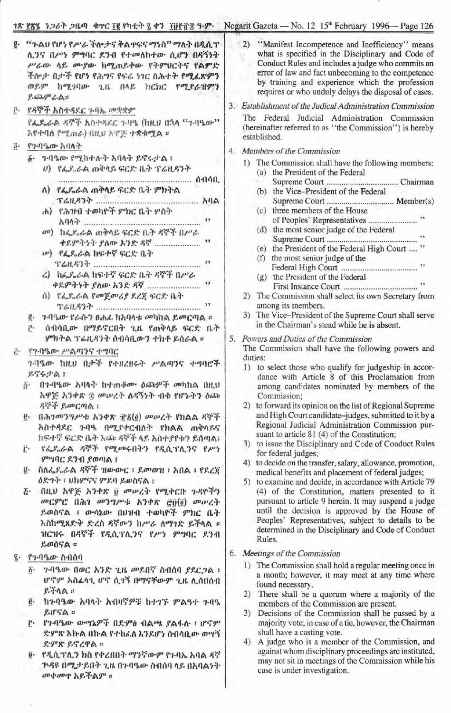# 78 [82 } 26} 214 \$PC 18 (h+} 2 47 198 ft 3. Negarit Gazeta - No. 12 15<sup>th</sup> February 1996 - Page 126

|                                                                                                                                                                                                                                                                                                                                                                                                                                                                                                                                                                                                                                      | $\frac{1}{2}$ $\frac{1}{2}$ $\frac{1}{2}$ $\frac{1}{2}$ $\frac{1}{2}$ $\frac{1}{2}$ $\frac{1}{2}$ $\frac{1}{2}$ $\frac{1}{2}$ $\frac{1}{2}$ $\frac{1}{2}$ $\frac{1}{2}$ $\frac{1}{2}$ $\frac{1}{2}$ $\frac{1}{2}$ $\frac{1}{2}$ $\frac{1}{2}$ $\frac{1}{2}$ $\frac{1}{2}$ $\frac{1}{2}$ $\frac{1}{2}$ $\frac{1}{2}$                                                                                                                                                                                                                                                                                                                                                                                                                                                                                                                                                                                                                                         |
|--------------------------------------------------------------------------------------------------------------------------------------------------------------------------------------------------------------------------------------------------------------------------------------------------------------------------------------------------------------------------------------------------------------------------------------------------------------------------------------------------------------------------------------------------------------------------------------------------------------------------------------|-------------------------------------------------------------------------------------------------------------------------------------------------------------------------------------------------------------------------------------------------------------------------------------------------------------------------------------------------------------------------------------------------------------------------------------------------------------------------------------------------------------------------------------------------------------------------------------------------------------------------------------------------------------------------------------------------------------------------------------------------------------------------------------------------------------------------------------------------------------------------------------------------------------------------------------------------------------|
| "ጉልህ የሆነ የሥራ ችሎታና ቅልዋፍና ማነስ" ማለት በዲሲፕ<br>ę.<br>ሊንና በሥነ ምግባር ደንብ የተመለከተው ሲሆን በዳኝነት<br>ሥራው ላይ ሙያው ከሚጠይቀው የትምህርትና የልምድ<br>ችሎታ በታች የሆነ የሕግና የፍሬ ነገር ስሕተት የሚፈጽምን<br>ወይም ከሚገባው ጊዜ በላይ ክርክር የሚያራዝምን<br>$R$ 60 $P$ $A$<br>የዳኞች አስተዳደር ጉባኤ መቋቋም<br>ŕ٠<br>ኖፌጼራል ዳኞች አስተዳደር ጉባዔ (ከዚሀ በኋላ "ጉባዔው"<br>እየተባለ የሚጠራ) በዚህ አዋጅ ተቋቁሟል ።                                                                                                                                                                                                                                                                                                                  | 2) "Manifest Incompetence and Inefficiency" means<br>what is specified in the Disciplinary and Code of<br>Conduct Rules and includes a judge who commits an<br>error of law and fact unbecoming to the competence<br>by training and experience which the profession<br>requires or who unduly delays the disposal of cases.<br>3. Establishment of the Judical Administration Commission<br>The Federal Judicial Administration Commission<br>(hereinafter referred to as "the Commission") is hereby                                                                                                                                                                                                                                                                                                                                                                                                                                                      |
| የንባዔው አባላት<br>$\overline{0}$ .<br>δ· 7-ባዔው የሚከተሉት አባላት ይኖሩታል ፣<br>ሀ) የፌዴራል ጠቅላይ ፍርድ ቤት ፕሬዚዳንት<br>ለ) የፌዴራል ጠቅላይ ፍርድ ቤት ምክትል<br>ሐ) የሕዝብ ተወካዮች ምክር ቤት ሦስት<br>$\overline{\mathbf{12}}$<br><sup>an</sup> ) ከፌዶራል ጠቅላይ ፍርድ ቤት ዳኞች በሥራ<br>ው) የፌዴራል ከፍተኛ ፍርድ ቤት                                                                                                                                                                                                                                                                                                                                                                              | established.<br>4. Members of the Commission<br>1) The Commission shall have the following members:<br>(a) the President of the Federal<br>(b) the Vice-President of the Federal<br>(c) three members of the House<br>(d) the most senior judge of the Federal<br>(e) the President of the Federal High Court  "<br>(f) the most senior judge of the                                                                                                                                                                                                                                                                                                                                                                                                                                                                                                                                                                                                        |
| ሬ) ክፌዴራል ከፍተኛ ፍርድ ቤት ዳኞች በሥራ<br>በ) የፌዴራል የመጀመሪያ ደረጃ ፍርድ ቤት<br><u>ළ - ጉባዔው የራሱን ፀሐፊ ከአባላቱ መካከል ይመርጣል ።</u><br>ሰብሳቢው በማይኖርበት ጊዜ የጠቅላይ ፍርድ ቤት<br>ምክትል ፕሬዚዳንት ሰብሳቢውን ተክቶ ይሰራል ።<br>ጅ· የኅብዔው ሥልጣንና ተግባር                                                                                                                                                                                                                                                                                                                                                                                                                                   | (g) the President of the Federal<br>The Commission shall select its own Secretary from<br>2)<br>among its members.<br>3) The Vice-President of the Supreme Court shall serve<br>in the Chairman's stead while he is absent.<br>5. Powers and Duties of the Commission<br>The Commission shall have the following powers and<br>duties:                                                                                                                                                                                                                                                                                                                                                                                                                                                                                                                                                                                                                      |
| ንብዔው ከዚህ በታች የተዘረዘሩት ሥልጣንና ተግባሮች<br>ይኖሩታል!<br>በጉባዔው አባላት ከተጠቆሙ ዕጩዎች መካከል በዚህ<br>$\vec{b}$ .<br>አዋጅ እንቀጽ ፰ መሠረት ለዳኝነት ብቁ የሆኑትን ዕጩ<br>ዳኞች ይመርጣል ፣<br>በሕገመንግሥቱ እንቀጽ ፹፩ (፬) መሥረት የክልል ዳኞች<br>$\mathbf{g}$ .<br>አስተዳደር ጉባዔ በሚያቀርብለት የክልል ጠቅላይና<br>ከፍተኛ ፍርድ ቤት እጩ ዳኞች ላይ አስተያየቱን ይሰጣል፣<br>የፌዴራል ዳኞች የሚመሩበትን የዲሲፕሲንና የሥነ<br>Ë٠<br>ምግባር ደንብ ያወጣል ፣<br>ስስፌዶሬል ዳኞች ዝውውር ፣ ደመወዝ ፣ አበል ፣ የደረጃ<br>$\vec{0}$<br>ዕድንት ፣ ሀክምናና ምደባ ይወስናል ፣<br>በዚህ አዋጅ አንቀጽ ፱ መሠረት የሚቀርቡ ጉዳዮችን<br>$\tilde{c}$ .<br>መርምሮ በሕገ መንግሥቱ እንቀጽ ሮ፱(፬) መሠረት<br>ይወስናል ፤ ውሳኔው በሀዝብ ተወካዮች ምክር ቤት<br>እስከሚጸድቅ ድረስ ዳኛውን ከሥራ ለማገድ ይችላል ።<br>ዝርዝሩ በዳኞች የዲሲፕሊንና የሥነ ምግባር ደንብ<br>ይወሰናል ፡፡ | 1) to select those who qualify for judgeship in accor-<br>dance with Article 8 of this Proclamation from<br>among candidates nominated by members of the<br>Commission;<br>to forward its opinion on the list of Regional Supreme<br>2)<br>and High Court candidate-judges, submitted to it by a<br>Regional Judicial Administration Commission pur-<br>suant to article 81 (4) of the Constitution;<br>3) to issue the Disciplinary and Code of Conduct Rules<br>for federal judges;<br>to decide on the transfer, salary, allowance, promotion,<br>4)<br>medical benefits and placement of federal judges;<br>5) to examine and decide, in accordance with Article 79<br>(4) of the Constitution, matters presented to it<br>pursuant to article 9 herein. It may suspend a judge<br>until the decision is approved by the House of<br>Peoples' Representatives, subject to details to be<br>determined in the Disciplinary and Code of Conduct<br>Rules. |
| የጉባዔው ስብሰባ<br>$\vec{a}$ .<br>ጉባዔው በወር አንድ ጊዜ መደበኛ ስብሰባ ያደርጋል ፣<br>$\delta$ .<br>ሆኖም አስፈላጊ ሆኖ ሲገኝ በማናቸውም ጊዜ ሊሰበሰብ<br>$E + \Lambda$<br>ከጉባዔው አባላት አብዛኛዎቹ ከተገኙ ምልዓተ ጉባዔ<br>ğ.<br>EIF6<br>የጉባዔው ውሣኔዎች በድምፅ ብልጫ ያልፋሉ ፣ ሆኖም<br>ŕ٠<br>ድምጽ እኩል በኩል የተከፌለ እንደሆነ ሰብሳቢው ወሣኝ<br>ድምጽ ይኖረዋል ።<br>፬· የዲሲፕሊን ክስ የቀረበበት ማንኛውም የጉባኤ አባል ዳኛ<br><i>ጉዳ</i> ዩ በሚታይበት ጊዜ በንባዔው ስብሰባ ላይ በአባልነት<br>መቀመጥ አይችልም ።                                                                                                                                                                                                                                               | 6. Meetings of the Commission<br>1) The Commission shall hold a regular meeting once in<br>a month; however, it may meet at any time where<br>found necessary.<br>There shall be a quorum where a majority of the<br>2)<br>members of the Commission are present.<br>Decisions of the Commission shall be passed by a<br>3)<br>majority vote; in case of a tie, however, the Chairman<br>shall have a casting vote.<br>A judge who is a member of the Commission, and<br>4)<br>against whom disciplinary proceedings are instituted,<br>may not sit in meetings of the Commission while his<br>case is under investigation.                                                                                                                                                                                                                                                                                                                                 |

መቀመዋ አይችልም ።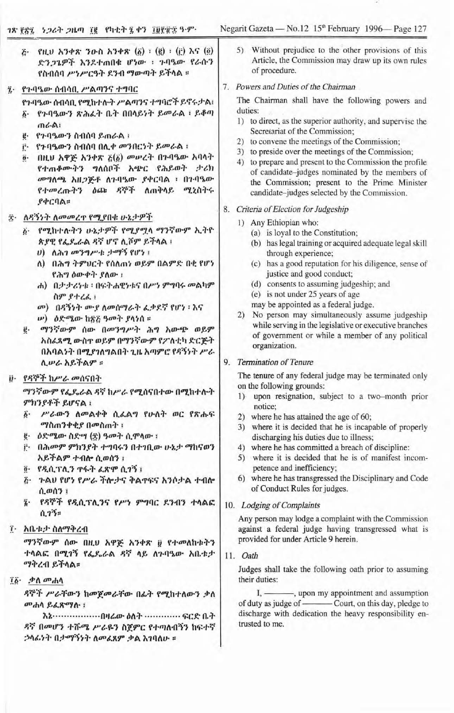|                                | <b>PHU እንቀጽ ንዑስ አንቀጽ <math>(\xi)</math> : <math>(\xi)</math> : <math>(\xi)</math> እና <math>(\xi)</math></b><br>$\ddot{c}$ .<br>ድንጋጌዎች እንደተጠበቁ ሆነው ፡ ጉባዔው የራሱን<br>የስብሰባ ሥነሥርዓት ደንብ ማውጣት ይችላል ፡                                                                                                                                                                                                                      | 5) Without prejudice to the other provisions of this<br>Article, the Commission may draw up its own rules<br>of procedure.                                                                                                                                                                                                                                                                                                                                                                                                                                                            |
|--------------------------------|--------------------------------------------------------------------------------------------------------------------------------------------------------------------------------------------------------------------------------------------------------------------------------------------------------------------------------------------------------------------------------------------------------------------|---------------------------------------------------------------------------------------------------------------------------------------------------------------------------------------------------------------------------------------------------------------------------------------------------------------------------------------------------------------------------------------------------------------------------------------------------------------------------------------------------------------------------------------------------------------------------------------|
| ï۰                             | የጉባዔው ሰብሳቢ ሥልጣንና ተግባር                                                                                                                                                                                                                                                                                                                                                                                              | 7. Powers and Duties of the Chairman                                                                                                                                                                                                                                                                                                                                                                                                                                                                                                                                                  |
|                                | የጉባዔው ስብሳቢ የሚከተሉት ሥልጣንና ተግባሮች ይኖሩታል፣<br>የንባዔውን ጽሕፈት ቤት በበላይነት ይመራል ፡ ይቆጣ<br>ጠራል!<br>የንባዔውን ስብሰባ ይጠራል ፡<br>ë.<br>የንባዔውን ስብሰባ በሊቀ መንበርነት ይመራል !<br>ŕ٠<br>በዚህ አዋጅ አንቀጽ ፩(፩) መሥረት በጉባዔው አባላት<br>$\ddot{\boldsymbol{\theta}}$ .<br>የተጠቆሙትን ግለሰቦች አጭር የሕይወት ታሪክ<br>መግለጫ አዘጋጅቶ ለጉባዔው ያቀርባል ፡ በጉባዔው<br>የተመረጡትን ዕጩ ዳኞች ለጠቅላይ<br>ሚኒስትሩ<br>የቀርባል።                                                                             | The Chairman shall have the following powers and<br>duties:<br>1) to direct, as the superior authority, and supervise the<br>Secretariat of the Commission;<br>2) to convene the meetings of the Commission;<br>3) to preside over the meetings of the Commission;<br>4) to prepare and present to the Commission the profile<br>of candidate-judges nominated by the members of<br>the Commission; present to the Prime Minister<br>candidate-judges selected by the Commission.                                                                                                     |
| ĝ.                             | ለዳኝነት ለመመረጥ የሚያበቁ ሁኔታዎች                                                                                                                                                                                                                                                                                                                                                                                            | Criteria of Election for Judgeship<br>8.                                                                                                                                                                                                                                                                                                                                                                                                                                                                                                                                              |
|                                | የሚከተሉትን ሁኔታዎች የሚያሟላ ማንኛውም ኢትዮ<br>$\ddot{b}$ .<br>ጵያዊ የፌዴራል ዳኛ ሆኖ ሲሾም ይችላል ፡<br>$\theta$ ) ለሕገ መንግሥቱ ታማኝ የሆነ ፡<br>ለ) በሕግ ትምሀርት የሰለጠነ ወይም በልምድ በቂ የሆነ<br>የሕግ ዕውቀት ያለው ፡<br>ሐ) በታታሪነቱ ፡ በፍትሐዊነቱና በሥነ ምግባሩ መልካም<br>ስም የተረፌ ፡<br>መ) በዳኝነት ሙያ ለመሰማራት ፌቃደኛ የሆነ ፡ እና<br>ω) ዕድሜው ከጽਣ ዓመት ያላነሰ ፡፡<br>ማንኛውም ሰው በመንግሥት ሕግ አውጭ ወይም<br>ë.<br>አስፈጻሚ ውስዋ ወይም በማንኛውም የፖለቲካ ድርጅት<br>በአባልነት በሚያነለግልበት ጊዜ አጣምሮ የዳኝነት ሥራ<br>ሲሠራ አይችልም ። | 1) Any Ethiopian who:<br>(a) is loyal to the Constitution;<br>(b) has legal training or acquired adequate legal skill<br>through experience;<br>(c) has a good reputation for his diligence, sense of<br>justice and good conduct;<br>(d) consents to assuming judgeship; and<br>(e) is not under 25 years of age<br>may be appointed as a federal judge.<br>No person may simultaneously assume judgeship<br>2)<br>while serving in the legislative or executive branches<br>of government or while a member of any political<br>organization.<br><b>Termination of Tenure</b><br>9. |
|                                |                                                                                                                                                                                                                                                                                                                                                                                                                    | The tenure of any federal judge may be terminated only                                                                                                                                                                                                                                                                                                                                                                                                                                                                                                                                |
| $\ddot{\boldsymbol{\theta}}$ . | የዳኞች ከሥራ መሰናበት<br>ማንኛውም የፌዴራል ዳኛ ከሥራ የሚሰናበተው በሚከተሱት<br>ምክንያቶች ይሆናል ፡<br>ሥራውን ስመልቀቅ ሲፈልግ የሁለት ወር የጽሑፍ<br>$\ddot{b}$ .<br><i>ማ</i> ስጠንቀቂያ በመስጠተ ፡<br>g· ዕድሜው ስድሣ (፰) ዓመት ሲሞላው ፣<br>i'· በሕመም ምክንያት ተግባሩን በተገቢው ሁኔታ ማከናወን<br>አይችልም ተብሎ ሲወሰን ፣<br>፬· የዲሲፕሊን ዋፋት ሬጽሞ ሲገኝ ፡<br>ጅ - ጉልሀ የሆነ የሥራ ችሎታና ቅልዋፍና አንሶታል ተብሎ<br>ሲወሰን ፤<br>የዳኞች የዲሲፕሊንና የሥነ ምግባር ደንብን ተሳልፎ<br>$\dddot{\mathbf{z}}$ .<br>0.75                        | on the following grounds:<br>upon resignation, subject to a two-month prior<br>1)<br>notice;<br>2) where he has attained the age of 60;<br>3) where it is decided that he is incapable of properly<br>discharging his duties due to illness;<br>4) where he has committed a breach of discipline:<br>5) where it is decided that he is of manifest incom-<br>petence and inefficiency;<br>6) where he has transgressed the Disciplinary and Code<br>of Conduct Rules for judges.<br>10. Lodging of Complaints<br>Any person may lodge a complaint with the Commission                 |
|                                | ፲ አቤቱታ ስለማቅረብ                                                                                                                                                                                                                                                                                                                                                                                                      | against a federal judge having transgressed what is                                                                                                                                                                                                                                                                                                                                                                                                                                                                                                                                   |
|                                | ማንኛውም ሰው በዚሀ አዋጅ አንቀጽ ፱ የተመለከቱትን<br>ተሳልፎ በሚገኝ የፌጼራል ዳኛ ላይ ለጉባዔው አቤቱታ<br>ማቅረብ ይችላል።                                                                                                                                                                                                                                                                                                                                 | provided for under Article 9 herein.<br>11. Oath<br>Judges shall take the following oath prior to assuming                                                                                                                                                                                                                                                                                                                                                                                                                                                                            |
|                                | $76.$ $\phi \Lambda$ $m_{\phi}$<br>ዳኞች ሥራቸውን ከመጀመራቸው በፊት የሚከተለውን ቃለ<br>መሐሳ ይፈጽማሉ ፣<br>እኔ………………በዛሬው ዕለት ………… ፍርድ ቤት<br>ጻኛ በመሆን ተሹሜ ሥራዬን ስጀምር የተጣለብኝን ከፍተኛ<br>ኃላፊነት በታማኝነት ለመፈጸም ቃል እንባለሁ ፡፡                                                                                                                                                                                                                         | their duties:<br>I, — , upon my appointment and assumption<br>of duty as judge of - Court, on this day, pledge to<br>discharge with dedication the heavy responsibility en-<br>trusted to me.                                                                                                                                                                                                                                                                                                                                                                                         |

78 ፻፳፯ ነጋሪት ጋዜጣ ፲፪ የካቲት ፯ ቀን ፲፱፻፹፰ ዓ.ም.

Negarit Gazeta — No.12 15<sup>th</sup> February 1996— Page 127